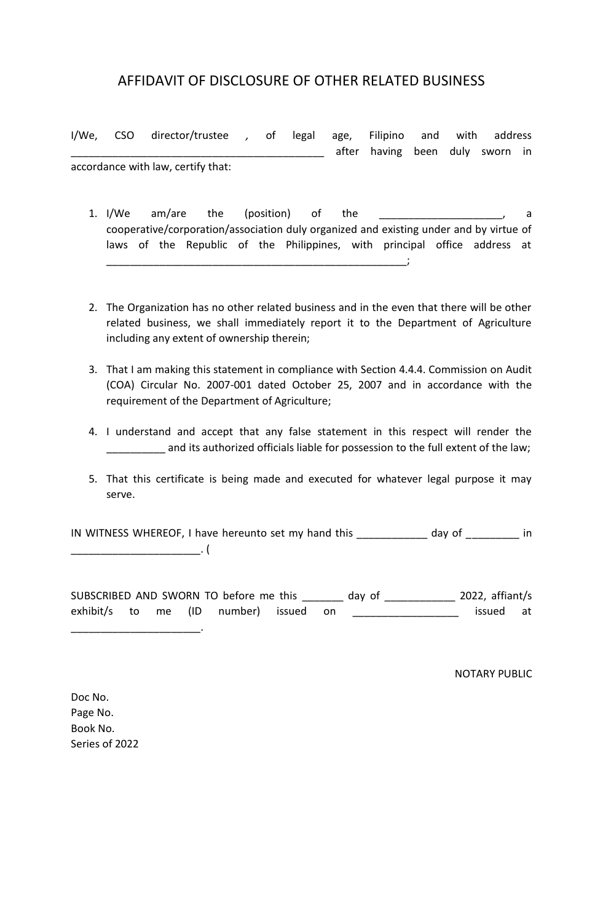# AFFIDAVIT OF DISCLOSURE OF OTHER RELATED BUSINESS

I/We, CSO director/trustee *,* of legal age, Filipino and with address **with the same of the read is a set of the summanneed in the summanneed in the summanneed in the summanneed in** accordance with law, certify that:

1. I/We am/are the (position) of the the the state of the state of the state of the state of the state of the state of the state of the state of the state of the state of the state of the state of the state of the state of cooperative/corporation/association duly organized and existing under and by virtue of laws of the Republic of the Philippines, with principal office address at

 $\blacksquare$ 

- 2. The Organization has no other related business and in the even that there will be other related business, we shall immediately report it to the Department of Agriculture including any extent of ownership therein;
- 3. That I am making this statement in compliance with Section 4.4.4. Commission on Audit (COA) Circular No. 2007-001 dated October 25, 2007 and in accordance with the requirement of the Department of Agriculture;
- 4. I understand and accept that any false statement in this respect will render the and its authorized officials liable for possession to the full extent of the law;
- 5. That this certificate is being made and executed for whatever legal purpose it may serve.

IN WITNESS WHEREOF, I have hereunto set my hand this \_\_\_\_\_\_\_\_\_\_\_\_ day of \_\_\_\_\_\_\_\_\_ in  $\overline{\phantom{a}}$ 

SUBSCRIBED AND SWORN TO before me this \_\_\_\_\_\_\_ day of \_\_\_\_\_\_\_\_\_\_\_\_ 2022, affiant/s exhibit/s to me (ID number) issued on \_\_\_\_\_\_\_\_\_\_\_\_\_\_\_\_\_\_ issued at

NOTARY PUBLIC

Doc No. Page No. Book No. Series of 2022

\_\_\_\_\_\_\_\_\_\_\_\_\_\_\_\_\_\_\_\_\_\_.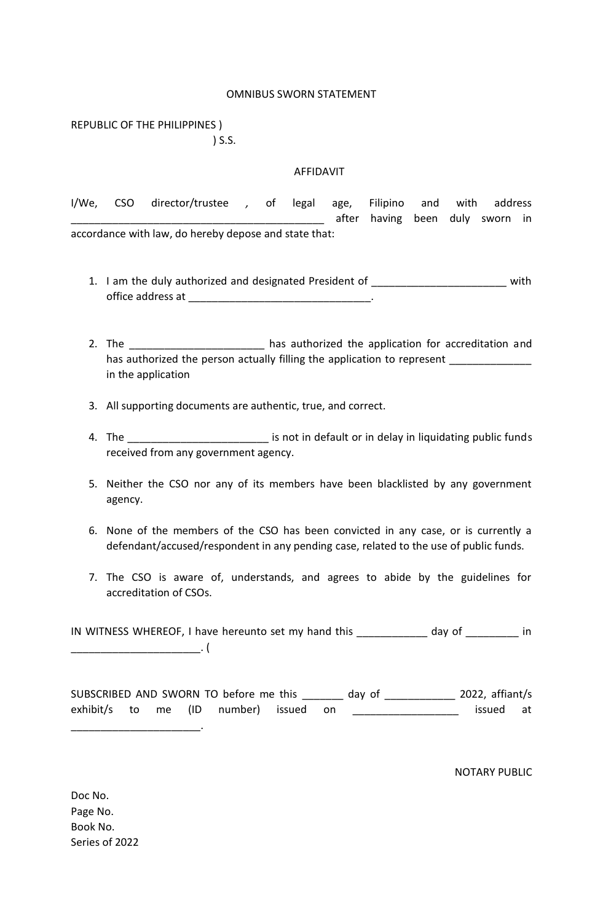#### OMNIBUS SWORN STATEMENT

REPUBLIC OF THE PHILIPPINES ) ) S.S.

#### AFFIDAVIT

I/We, CSO director/trustee *,* of legal age, Filipino and with address \_\_\_\_\_\_\_\_\_\_\_\_\_\_\_\_\_\_\_\_\_\_\_\_\_\_\_\_\_\_\_\_\_\_\_\_\_\_\_\_\_\_\_ after having been duly sworn in accordance with law, do hereby depose and state that:

- 1. I am the duly authorized and designated President of \_\_\_\_\_\_\_\_\_\_\_\_\_\_\_\_\_\_\_\_\_\_\_\_ with office address at  $\blacksquare$
- 2. The **Example 2.** The contract the application for accreditation and has authorized the person actually filling the application to represent \_\_\_\_\_\_\_\_\_ in the application
- 3. All supporting documents are authentic, true, and correct.
- 4. The \_\_\_\_\_\_\_\_\_\_\_\_\_\_\_\_\_\_\_\_\_\_\_\_\_\_\_\_\_\_ is not in default or in delay in liquidating public funds received from any government agency.
- 5. Neither the CSO nor any of its members have been blacklisted by any government agency.
- 6. None of the members of the CSO has been convicted in any case, or is currently a defendant/accused/respondent in any pending case, related to the use of public funds.
- 7. The CSO is aware of, understands, and agrees to abide by the guidelines for accreditation of CSOs.

IN WITNESS WHEREOF, I have hereunto set my hand this \_\_\_\_\_\_\_\_\_\_\_\_ day of \_\_\_\_\_\_\_\_\_ in  $\overline{\phantom{a}}$ . (

SUBSCRIBED AND SWORN TO before me this \_\_\_\_\_\_\_ day of \_\_\_\_\_\_\_\_\_\_\_\_ 2022, affiant/s exhibit/s to me (ID number) issued on \_\_\_\_\_\_\_\_\_\_\_\_\_\_\_\_\_\_ issued at

NOTARY PUBLIC

Doc No. Page No. Book No. Series of 2022

\_\_\_\_\_\_\_\_\_\_\_\_\_\_\_\_\_\_\_\_\_\_.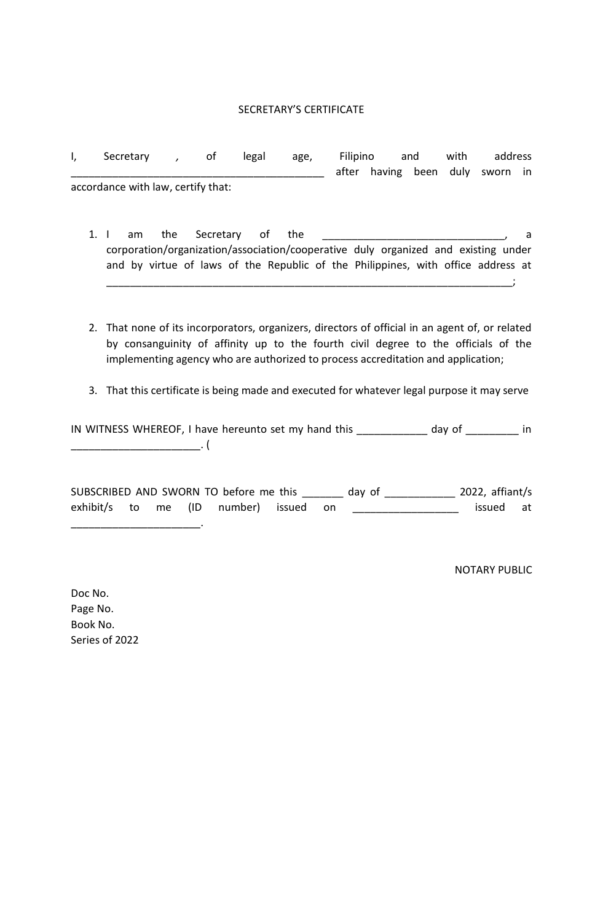## SECRETARY'S CERTIFICATE

| I, | Secretary                          |      | οt                                                                                 | legal                       | age, | Filipino |                           | and | with | address |  |
|----|------------------------------------|------|------------------------------------------------------------------------------------|-----------------------------|------|----------|---------------------------|-----|------|---------|--|
|    |                                    |      |                                                                                    |                             |      | after    | having been duly sworn in |     |      |         |  |
|    | accordance with law, certify that: |      |                                                                                    |                             |      |          |                           |     |      |         |  |
|    |                                    |      |                                                                                    |                             |      |          |                           |     |      |         |  |
|    |                                    |      |                                                                                    |                             |      |          |                           |     |      |         |  |
|    | am                                 | the. | Secretary                                                                          | $\overline{\phantom{a}}$ of | the  |          |                           |     |      |         |  |
|    |                                    |      | corporation/organization/association/cooperative duly organized and existing under |                             |      |          |                           |     |      |         |  |
|    |                                    |      | and by virtue of laws of the Republic of the Philippines, with office address at   |                             |      |          |                           |     |      |         |  |

2. That none of its incorporators, organizers, directors of official in an agent of, or related by consanguinity of affinity up to the fourth civil degree to the officials of the implementing agency who are authorized to process accreditation and application;

\_\_\_\_\_\_\_\_\_\_\_\_\_\_\_\_\_\_\_\_\_\_\_\_\_\_\_\_\_\_\_\_\_\_\_\_\_\_\_\_\_\_\_\_\_\_\_\_\_\_\_\_\_\_\_\_\_\_\_\_\_\_\_\_\_\_\_\_\_;

3. That this certificate is being made and executed for whatever legal purpose it may serve

IN WITNESS WHEREOF, I have hereunto set my hand this \_\_\_\_\_\_\_\_\_\_\_\_ day of \_\_\_\_\_\_\_\_\_ in \_\_\_\_\_\_\_\_\_\_\_\_\_\_\_\_\_\_\_\_\_\_. (

|  |  | SUBSCRIBED AND SWORN TO before me this |  | day of | 2022, $affiant/s$ |           |  |
|--|--|----------------------------------------|--|--------|-------------------|-----------|--|
|  |  | exhibit/s to me (ID number) issued on  |  |        |                   | issued at |  |

NOTARY PUBLIC

Doc No. Page No. Book No. Series of 2022

 $\mathcal{L}=\mathcal{L}=\mathcal{L}=\mathcal{L}=\mathcal{L}=\mathcal{L}$